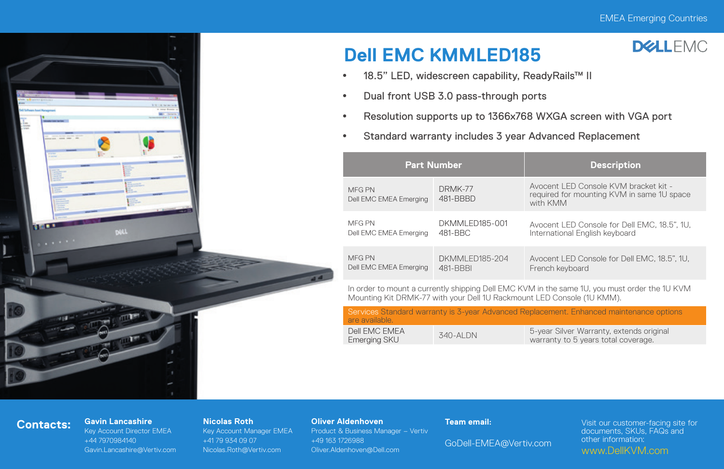**DELLEMC** 



# **Dell EMC KMMLED185**



- Dual front USB 3.0 pass-through ports
- Resolution supports up to 1366x768 WXGA screen with VGA port
- **•** Standard warranty includes 3 year Advanced Replacement

|  | <b>Part Number</b>                                                                               |                                    | <b>Description</b>                                                                               |  |  |
|--|--------------------------------------------------------------------------------------------------|------------------------------------|--------------------------------------------------------------------------------------------------|--|--|
|  | MFG PN<br>Dell EMC EMEA Emerging                                                                 | DRMK-77<br>481-BBBD                | Avocent I FD Console KVM bracket kit -<br>required for mounting KVM in same 1U space<br>with KMM |  |  |
|  | MFG PN<br>Dell EMC EMEA Emerging                                                                 | DKMMI FD185-001<br>481-BBC         | Avocent LED Console for Dell EMC, 18.5", 1U,<br>International English keyboard                   |  |  |
|  | MFG PN<br>Dell EMC EMEA Emerging                                                                 | <b>DKMMI FD185-204</b><br>481-BBBI | Avocent LED Console for Dell EMC, 18.5", 1U,<br>French keyboard                                  |  |  |
|  | In erder to mount a ourrently objecting Dell EMO I/VM in the same 1L veu must erder the 1L I/VM. |                                    |                                                                                                  |  |  |

In order to mount a currently shipping Dell EMC KVM in the same 1U, you must order the 1U KVM Mounting Kit DRMK-77 with your Dell 1U Rackmount LED Console (1U KMM).

| are available.                |           | Services Standard warranty is 3-year Advanced Replacement. Enhanced maintenance options |
|-------------------------------|-----------|-----------------------------------------------------------------------------------------|
| Dell FMC FMFA<br>Emerging SKU | 340-AI DN | 5-year Silver Warranty, extends original<br>warranty to 5 years total coverage.         |

## **Contacts: Gavin Lancashire**

Key Account Director EMEA +44 7970984140 Gavin.Lancashire@Vertiv.com

### **Nicolas Roth**

Key Account Manager EMEA +41 79 934 09 07 Nicolas.Roth@Vertiv.com

### **Oliver Aldenhoven**

Product & Business Manager – Vertiv +49 163 1726988 Oliver.Aldenhoven@Dell.com

### **Team email:**

GoDell-EMEA@Vertiv.com

Visit our customer-facing site for documents, SKUs, FAQs and other information: www.DellKVM.com